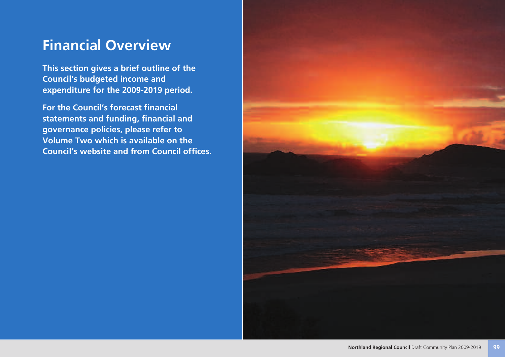# **Financial Overview**

**This section gives a brief outline of the Council's budgeted income and expenditure for the 2009-2019 period.**

**For the Council's forecast financial statements and funding, financial and governance policies, please refer to Volume Two which is available on the Council's website and from Council offices.**

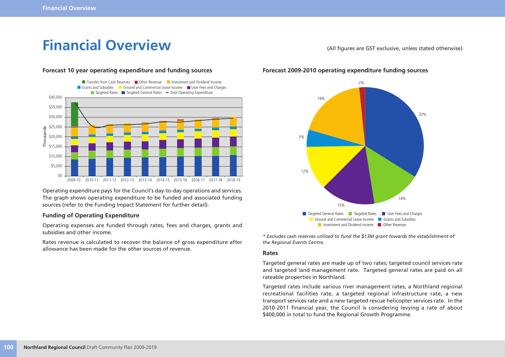# **Financial Overview** (All figures are GST exclusive, unless stated otherwise)



### **Forecast 10 year operating expenditure and funding sources**

Operating expenditure pays for the Council's day-to-day operations and services. The graph shows operating expenditure to be funded and associated funding sources (refer to the Funding Impact Statement for further detail).

### **Funding of Operating Expenditure**

Operating expenses are funded through rates, fees and charges, grants and subsidies and other income.

Rates revenue is calculated to recover the balance of gross expenditure after allowance has been made for the other sources of revenue.

### **Forecast 2009-2010 operating expenditure funding sources**



*\* Excludes cash reserves utilised to fund the \$13M grant towards the establishment of the Regional Events Centre.*

### **Rates**

Targeted general rates are made up of two rates; targeted council services rate and targeted land management rate. Targeted general rates are paid on all rateable properties in Northland.

Targeted rates include various river management rates, a Northland regional recreational facilities rate, a targeted regional infrastructure rate, a new transport services rate and a new targeted rescue helicopter services rate. In the 2010-2011 financial year, the Council is considering levying a rate of about \$400,000 in total to fund the Regional Growth Programme.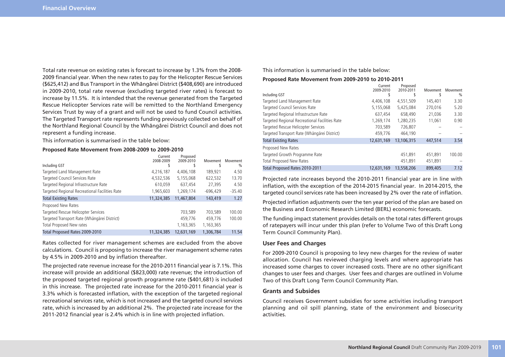Total rate revenue on existing rates is forecast to increase by 1.3% from the 2008- 2009 financial year. When the new rates to pay for the Helicopter Rescue Services (\$625,412) and Bus Transport in the Whängärei District (\$408,690) are introduced in 2009-2010, total rate revenue (excluding targeted river rates) is forecast to increase by 11.5%. It is intended that the revenue generated from the Targeted Rescue Helicopter Services rate will be remitted to the Northland Emergency Services Trust by way of a grant and will not be used to fund Council activities. The Targeted Transport rate represents funding previously collected on behalf of the Northland Regional Council by the Whängärei District Council and does not represent a funding increase.

This information is summarised in the table below:

#### **Proposed Rate Movement from 2008-2009 to 2009-2010**

|                                                | Current    | Proposed   |            |                           |
|------------------------------------------------|------------|------------|------------|---------------------------|
| Including GST                                  | 2008-2009  | 2009-2010  | Movement   | Movement<br>$\frac{0}{0}$ |
| Targeted Land Management Rate                  | 4,216,187  | 4.406.108  | 189.921    | 4.50                      |
| Targeted Council Services Rate                 | 4,532,536  | 5,155,068  | 622,532    | 13.70                     |
| Targeted Regional Infrastructure Rate          | 610,059    | 637.454    | 27,395     | 4.50                      |
| Targeted Regional Recreational Facilities Rate | 1,965,603  | 1,269,174  | $-696,429$ | $-35.40$                  |
| <b>Total Existing Rates</b>                    | 11,324,385 | 11,467,804 | 143,419    | 1.27                      |
| Proposed New Rates                             |            |            |            |                           |
| Targeted Rescue Helicopter Services            |            | 703,589    | 703.589    | 100.00                    |
| Targeted Transport Rate (Whängärei District)   |            | 459.776    | 459.776    | 100.00                    |
| Total Proposed New rates                       |            | 1,163,365  | 1,163,365  |                           |
| Total Proposed Rates 2009-2010                 | 11,324,385 | 12,631,169 | 1,306,784  | 11.54                     |

Rates collected for river management schemes are excluded from the above calculations. Council is proposing to increase the river management scheme rates by 4.5% in 2009-2010 and by inflation thereafter.

The projected rate revenue increase for the 2010-2011 financial year is 7.1%. This increase will provide an additional (\$823,000) rate revenue; the introduction of the proposed targeted regional growth programme rate (\$401,681) is included in this increase. The projected rate increase for the 2010-2011 financial year is 3.3% which is forecasted inflation, with the exception of the targeted regional recreational services rate, which is not increased and the targeted council services rate, which is increased by an additional 2%. The projected rate increase for the 2011-2012 financial year is 2.4% which is in line with projected inflation.

### This information is summarised in the table below:

### **Proposed Rate Movement from 2009-2010 to 2010-2011**

| Including GST                                  | Current<br>2009-2010 | Proposed<br>2010-2011 | Movement | Movement<br>$\%$ |
|------------------------------------------------|----------------------|-----------------------|----------|------------------|
| Targeted Land Management Rate                  | 4,406,108            | 4,551,509             | 145.401  | 3.30             |
| Targeted Council Services Rate                 | 5,155,068            | 5.425.084             | 270.016  | 5.20             |
| Targeted Regional Infrastructure Rate          | 637,454              | 658,490               | 21.036   | 3.30             |
| Targeted Regional Recreational Facilities Rate | 1,269,174            | 1,280,235             | 11.061   | 0.90             |
| Targeted Rescue Helicopter Services            | 703,589              | 726,807               |          |                  |
| Targeted Transport Rate (Whängärei District)   | 459,776              | 464,190               |          |                  |
| <b>Total Existing Rates</b>                    | 12,631,169           | 13,106,315            | 447,514  | 3.54             |
| Proposed New Rates                             |                      |                       |          |                  |
| Targeted Growth Programme Rate                 |                      | 451,891               | 451,891  | 100.00           |
| <b>Total Proposed New Rates</b>                |                      | 451.891               | 451.891  |                  |
| Total Proposed Rates 2010-2011                 | 12.631.169           | 13,558,206            | 899,405  | 7.12             |

Projected rate increases beyond the 2010-2011 financial year are in line with inflation, with the exception of the 2014-2015 financial year. In 2014-2015, the targeted council services rate has been increased by 2% over the rate of inflation.

Projected inflation adjustments over the ten year period of the plan are based on the Business and Economic Research Limited (BERL) economic forecasts.

The funding impact statement provides details on the total rates different groups of ratepayers will incur under this plan (refer to Volume Two of this Draft Long Term Council Community Plan).

### **User Fees and Charges**

For 2009-2010 Council is proposing to levy new charges for the review of water allocation. Council has reviewed charging levels and where appropriate has increased some charges to cover increased costs. There are no other significant changes to user fees and charges. User fees and charges are outlined in Volume Two of this Draft Long Term Council Community Plan.

### **Grants and Subsides**

Council receives Government subsidies for some activities including transport planning and oil spill planning, state of the environment and biosecurity activities.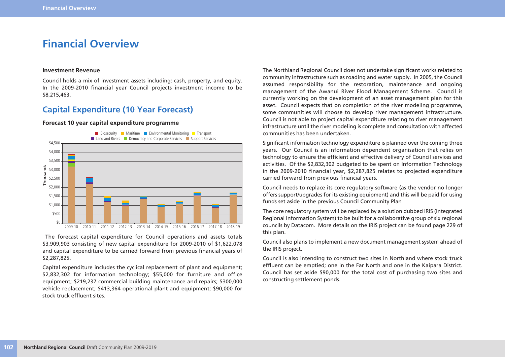## **Financial Overview**

### **Investment Revenue**

Council holds a mix of investment assets including; cash, property, and equity. In the 2009-2010 financial year Council projects investment income to be \$8,215,463.

### **Capital Expenditure (10 Year Forecast)**

### **Forecast 10 year capital expenditure programme**



The forecast capital expenditure for Council operations and assets totals \$3,909,903 consisting of new capital expenditure for 2009-2010 of \$1,622,078 and capital expenditure to be carried forward from previous financial years of \$2,287,825.

Capital expenditure includes the cyclical replacement of plant and equipment; \$2,832,302 for information technology; \$55,000 for furniture and office equipment; \$219,237 commercial building maintenance and repairs; \$300,000 vehicle replacement; \$413,364 operational plant and equipment; \$90,000 for stock truck effluent sites.

The Northland Regional Council does not undertake significant works related to community infrastructure such as roading and water supply. In 2005, the Council assumed responsibility for the restoration, maintenance and ongoing management of the Awanui River Flood Management Scheme. Council is currently working on the development of an asset management plan for this asset. Council expects that on completion of the river modeling programme, some communities will choose to develop river management infrastructure. Council is not able to project capital expenditure relating to river management infrastructure until the river modeling is complete and consultation with affected communities has been undertaken.

Significant information technology expenditure is planned over the coming three years. Our Council is an information dependent organisation that relies on technology to ensure the efficient and effective delivery of Council services and activities. Of the \$2,832,302 budgeted to be spent on Information Technology in the 2009-2010 financial year, \$2,287,825 relates to projected expenditure carried forward from previous financial years.

Council needs to replace its core regulatory software (as the vendor no longer offers support/upgrades for its existing equipment) and this will be paid for using funds set aside in the previous Council Community Plan

The core regulatory system will be replaced by a solution dubbed IRIS (Integrated Regional Information System) to be built for a collaborative group of six regional councils by Datacom. More details on the IRIS project can be found page 229 of this plan.

Council also plans to implement a new document management system ahead of the IRIS project.

Council is also intending to construct two sites in Northland where stock truck effluent can be emptied; one in the Far North and one in the Kaipara District. Council has set aside \$90,000 for the total cost of purchasing two sites and constructing settlement ponds.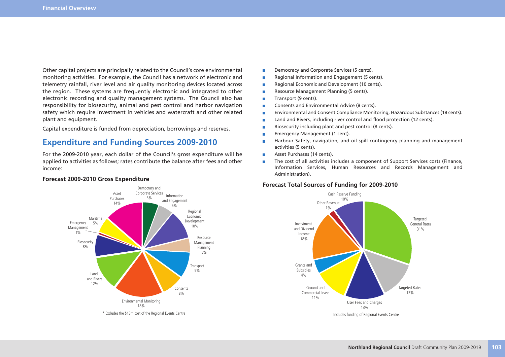Other capital projects are principally related to the Council's core environmental monitoring activities. For example, the Council has a network of electronic and telemetry rainfall, river level and air quality monitoring devices located across the region. These systems are frequently electronic and integrated to other electronic recording and quality management systems. The Council also has responsibility for biosecurity, animal and pest control and harbor navigation safety which require investment in vehicles and watercraft and other related plant and equipment.

Capital expenditure is funded from depreciation, borrowings and reserves.

### **Expenditure and Funding Sources 2009-2010**

For the 2009-2010 year, each dollar of the Council's gross expenditure will be applied to activities as follows; rates contribute the balance after fees and other income:



#### **Forecast 2009-2010 Gross Expenditure**

- Democracy and Corporate Services (5 cents). m.
- Regional Information and Engagement (5 cents). П
- Ē Regional Economic and Development (10 cents).
- Resource Management Planning (5 cents). Ē.
- Transport (9 cents). Ē.
- Consents and Environmental Advice (8 cents). Ē
- Ē. Environmental and Consent Compliance Monitoring, Hazardous Substances (18 cents).
- Land and Rivers, including river control and flood protection (12 cents). П
- П Biosecurity including plant and pest control (8 cents).
- Emergency Management (1 cent). Г
- Harbour Safety, navigation, and oil spill contingency planning and management Ē. activities (5 cents).
- Asset Purchases (14 cents).  $\overline{\phantom{a}}$
- The cost of all activities includes a component of Support Services costs (Finance, П Information Services, Human Resources and Records Management and Administration).

### **Forecast Total Sources of Funding for 2009-2010**

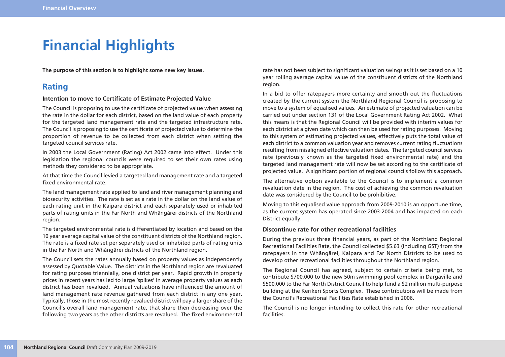# **Financial Highlights**

**The purpose of this section is to highlight some new key issues.**

### **Rating**

### **Intention to move to Certificate of Estimate Projected Value**

The Council is proposing to use the certificate of projected value when assessing the rate in the dollar for each district, based on the land value of each property for the targeted land management rate and the targeted infrastructure rate. The Council is proposing to use the certificate of projected value to determine the proportion of revenue to be collected from each district when setting the targeted council services rate.

In 2003 the Local Government (Rating) Act 2002 came into effect. Under this legislation the regional councils were required to set their own rates using methods they considered to be appropriate.

At that time the Council levied a targeted land management rate and a targeted fixed environmental rate.

The land management rate applied to land and river management planning and biosecurity activities. The rate is set as a rate in the dollar on the land value of each rating unit in the Kaipara district and each separately used or inhabited parts of rating units in the Far North and Whängärei districts of the Northland region.

The targeted environmental rate is differentiated by location and based on the 10 year average capital value of the constituent districts of the Northland region. The rate is a fixed rate set per separately used or inhabited parts of rating units in the Far North and Whängärei districts of the Northland region.

The Council sets the rates annually based on property values as independently assessed by Quotable Value. The districts in the Northland region are revaluated for rating purposes triennially, one district per year. Rapid growth in property prices in recent years has led to large 'spikes' in average property values as each district has been revalued. Annual valuations have influenced the amount of land management rate revenue gathered from each district in any one year. Typically, those in the most recently revalued district will pay a larger share of the Council's overall land management rate, that share then decreasing over the following two years as the other districts are revalued. The fixed environmental rate has not been subject to significant valuation swings as it is set based on a 10 year rolling average capital value of the constituent districts of the Northland region.

In a bid to offer ratepayers more certainty and smooth out the fluctuations created by the current system the Northland Regional Council is proposing to move to a system of equalised values. An estimate of projected valuation can be carried out under section 131 of the Local Government Rating Act 2002. What this means is that the Regional Council will be provided with interim values for each district at a given date which can then be used for rating purposes. Moving to this system of estimating projected values, effectively puts the total value of each district to a common valuation year and removes current rating fluctuations resulting from misaligned effective valuation dates. The targeted council services rate (previously known as the targeted fixed environmental rate) and the targeted land management rate will now be set according to the certificate of projected value. A significant portion of regional councils follow this approach.

The alternative option available to the Council is to implement a common revaluation date in the region. The cost of achieving the common revaluation date was considered by the Council to be prohibitive.

Moving to this equalised value approach from 2009-2010 is an opportune time, as the current system has operated since 2003-2004 and has impacted on each District equally.

### **Discontinue rate for other recreational facilities**

During the previous three financial years, as part of the Northland Regional Recreational Facilities Rate, the Council collected \$5.63 (including GST) from the ratepayers in the Whängärei, Kaipara and Far North Districts to be used to develop other recreational facilities throughout the Northland region.

The Regional Council has agreed, subject to certain criteria being met, to contribute \$700,000 to the new 50m swimming pool complex in Dargaville and \$500,000 to the Far North District Council to help fund a \$2 million multi-purpose building at the Kerikeri Sports Complex. These contributions will be made from the Council's Recreational Facilities Rate established in 2006.

The Council is no longer intending to collect this rate for other recreational facilities.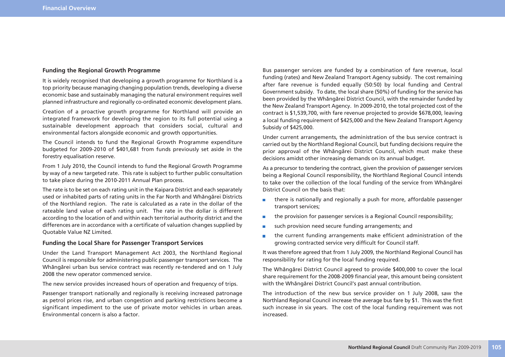### **Funding the Regional Growth Programme**

It is widely recognised that developing a growth programme for Northland is a top priority because managing changing population trends, developing a diverse economic base and sustainably managing the natural environment requires well planned infrastructure and regionally co-ordinated economic development plans.

Creation of a proactive growth programme for Northland will provide an integrated framework for developing the region to its full potential using a sustainable development approach that considers social, cultural and environmental factors alongside economic and growth opportunities.

The Council intends to fund the Regional Growth Programme expenditure budgeted for 2009-2010 of \$401,681 from funds previously set aside in the forestry equalisation reserve.

From 1 July 2010, the Council intends to fund the Regional Growth Programme by way of a new targeted rate. This rate is subject to further public consultation to take place during the 2010-2011 Annual Plan process.

The rate is to be set on each rating unit in the Kaipara District and each separately used or inhabited parts of rating units in the Far North and Whängärei Districts of the Northland region. The rate is calculated as a rate in the dollar of the rateable land value of each rating unit. The rate in the dollar is different according to the location of and within each territorial authority district and the differences are in accordance with a certificate of valuation changes supplied by Quotable Value NZ Limited.

### **Funding the Local Share for Passenger Transport Services**

Under the Land Transport Management Act 2003, the Northland Regional Council is responsible for administering public passenger transport services. The Whängärei urban bus service contract was recently re-tendered and on 1 July 2008 the new operator commenced service.

The new service provides increased hours of operation and frequency of trips.

Passenger transport nationally and regionally is receiving increased patronage as petrol prices rise, and urban congestion and parking restrictions become a significant impediment to the use of private motor vehicles in urban areas. Environmental concern is also a factor.

Bus passenger services are funded by a combination of fare revenue, local funding (rates) and New Zealand Transport Agency subsidy. The cost remaining after fare revenue is funded equally (50:50) by local funding and Central Government subsidy. To date, the local share (50%) of funding for the service has been provided by the Whängärei District Council, with the remainder funded by the New Zealand Transport Agency. In 2009-2010, the total projected cost of the contract is \$1,539,700, with fare revenue projected to provide \$678,000, leaving a local funding requirement of \$425,000 and the New Zealand Transport Agency Subsidy of \$425,000.

Under current arrangements, the administration of the bus service contract is carried out by the Northland Regional Council, but funding decisions require the prior approval of the Whängärei District Council, which must make these decisions amidst other increasing demands on its annual budget.

As a precursor to tendering the contract, given the provision of passenger services being a Regional Council responsibility, the Northland Regional Council intends to take over the collection of the local funding of the service from Whängärei District Council on the basis that:

- there is nationally and regionally a push for more, affordable passenger **The Contract of the Contract** transport services;
- the provision for passenger services is a Regional Council responsibility; m.
- such provision need secure funding arrangements; and m.
- the current funding arrangements make efficient administration of the m. growing contracted service very difficult for Council staff.

It was therefore agreed that from 1 July 2009, the Northland Regional Council has responsibility for rating for the local funding required.

The Whängärei District Council agreed to provide \$400,000 to cover the local share requirement for the 2008-2009 financial year, this amount being consistent with the Whängärei District Council's past annual contribution.

The introduction of the new bus service provider on 1 July 2008, saw the Northland Regional Council increase the average bus fare by \$1. This was the first such increase in six years. The cost of the local funding requirement was not increased.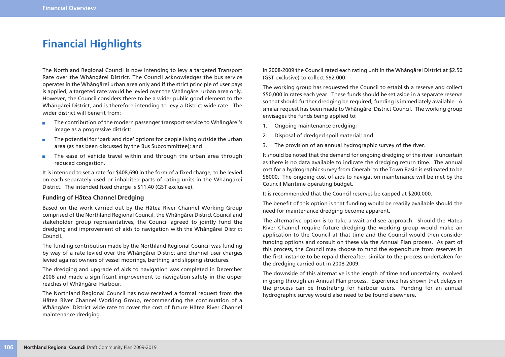## **Financial Highlights**

The Northland Regional Council is now intending to levy a targeted Transport Rate over the Whängärei District. The Council acknowledges the bus service operates in the Whängärei urban area only and if the strict principle of user pays is applied, a targeted rate would be levied over the Whängärei urban area only. However, the Council considers there to be a wider public good element to the Whängärei District, and is therefore intending to levy a District wide rate. The wider district will benefit from:

- The contribution of the modern passenger transport service to Whängärei's  $\overline{\phantom{a}}$ image as a progressive district;
- $\blacksquare$ The potential for 'park and ride' options for people living outside the urban area (as has been discussed by the Bus Subcommittee); and
- The ease of vehicle travel within and through the urban area through  $\blacksquare$ reduced congestion.

It is intended to set a rate for \$408,690 in the form of a fixed charge, to be levied on each separately used or inhabited parts of rating units in the Whängärei District. The intended fixed charge is \$11.40 (GST exclusive).

### **Funding of Hätea Channel Dredging**

Based on the work carried out by the Hätea River Channel Working Group comprised of the Northland Regional Council, the Whängärei District Council and stakeholder group representatives, the Council agreed to jointly fund the dredging and improvement of aids to navigation with the Whängärei District Council.

The funding contribution made by the Northland Regional Council was funding by way of a rate levied over the Whängärei District and channel user charges levied against owners of vessel moorings, berthing and slipping structures.

The dredging and upgrade of aids to navigation was completed in December 2008 and made a significant improvement to navigation safety in the upper reaches of Whängärei Harbour.

The Northland Regional Council has now received a formal request from the Hätea River Channel Working Group, recommending the continuation of a Whängärei District wide rate to cover the cost of future Hätea River Channel maintenance dredging.

In 2008-2009 the Council rated each rating unit in the Whängärei District at \$2.50 (GST exclusive) to collect \$92,000.

The working group has requested the Council to establish a reserve and collect \$50,000 in rates each year. These funds should be set aside in a separate reserve so that should further dredging be required, funding is immediately available. A similar request has been made to Whängärei District Council. The working group envisages the funds being applied to:

- 1. Ongoing maintenance dredging;
- 2. Disposal of dredged spoil material; and
- 3. The provision of an annual hydrographic survey of the river.

It should be noted that the demand for ongoing dredging of the river is uncertain as there is no data available to indicate the dredging return time. The annual cost for a hydrographic survey from Onerahi to the Town Basin is estimated to be \$8000. The ongoing cost of aids to navigation maintenance will be met by the Council Maritime operating budget.

It is recommended that the Council reserves be capped at \$200,000.

The benefit of this option is that funding would be readily available should the need for maintenance dredging become apparent.

The alternative option is to take a wait and see approach. Should the Hätea River Channel require future dredging the working group would make an application to the Council at that time and the Council would then consider funding options and consult on these via the Annual Plan process. As part of this process, the Council may choose to fund the expenditure from reserves in the first instance to be repaid thereafter, similar to the process undertaken for the dredging carried out in 2008-2009.

The downside of this alternative is the length of time and uncertainty involved in going through an Annual Plan process. Experience has shown that delays in the process can be frustrating for harbour users. Funding for an annual hydrographic survey would also need to be found elsewhere.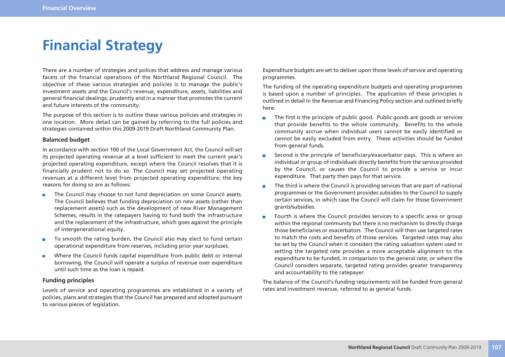# **Financial Strategy**

There are a number of strategies and polices that address and manage various facets of the financial operations of the Northland Regional Council. The objective of these various strategies and policies is to manage the public's investment assets and the Council's revenue, expenditure, assets, liabilities and general financial dealings, prudently and in a manner that promotes the current and future interests of the community.

The purpose of this section is to outline these various policies and strategies in one location. More detail can be gained by referring to the full policies and strategies contained within this 2009-2019 Draft Northland Community Plan.

### **Balanced budget**

In accordance with section 100 of the Local Government Act, the Council will set its projected operating revenue at a level sufficient to meet the current year's projected operating expenditure, except where the Council resolves that it is financially prudent not to do so. The Council may set projected operating revenues at a different level from projected operating expenditure; the key reasons for doing so are as follows:

- The Council may choose to not fund depreciation on some Council assets.  $\overline{\phantom{a}}$ The Council believes that funding depreciation on new assets (rather than replacement assets) such as the development of new River Management Schemes, results in the ratepayers having to fund both the infrastructure and the replacement of the infrastructure, which goes against the principle of intergenerational equity.
- To smooth the rating burden, the Council also may elect to fund certain  $\overline{\phantom{a}}$ operational expenditure from reserves, including prior year surpluses.
- Where the Council funds capital expenditure from public debt or internal  $\overline{\phantom{a}}$ borrowing, the Council will operate a surplus of revenue over expenditure until such time as the loan is repaid.

### **Funding principles**

Levels of service and operating programmes are established in a variety of policies, plans and strategies that the Council has prepared and adopted pursuant to various pieces of legislation.

Expenditure budgets are set to deliver upon those levels of service and operating programmes.

The funding of the operating expenditure budgets and operating programmes is based upon a number of principles. The application of these principles is outlined in detail in the Revenue and Financing Policy section and outlined briefly here:

- The first is the principle of public good. Public goods are goods or services m. that provide benefits to the whole community. Benefits to the whole community accrue when individual users cannot be easily identified or cannot be easily excluded from entry. These activities should be funded from general funds.
- Second is the principle of beneficiary/exacerbator pays. This is where an individual or group of individuals directly benefits from the service provided by the Council, or causes the Council to provide a service or incur expenditure. That party then pays for that service.
- The third is where the Council is providing services that are part of national  $\blacksquare$ programmes or the Government provides subsidies to the Council to supply certain services, in which case the Council will claim for those Government grants/subsidies.
- Fourth is where the Council provides services to a specific area or group  $\overline{\phantom{a}}$ within the regional community but there is no mechanism to directly charge those beneficiaries or exacerbators. The Council will then use targeted rates to match the costs and benefits of those services. Targeted rates may also be set by the Council when it considers the rating valuation system used in setting the targeted rate provides a more acceptable alignment to the expenditure to be funded, in comparison to the general rate, or where the Council considers separate, targeted rating provides greater transparency and accountability to the ratepayer.

The balance of the Council's funding requirements will be funded from general rates and investment revenue, referred to as general funds.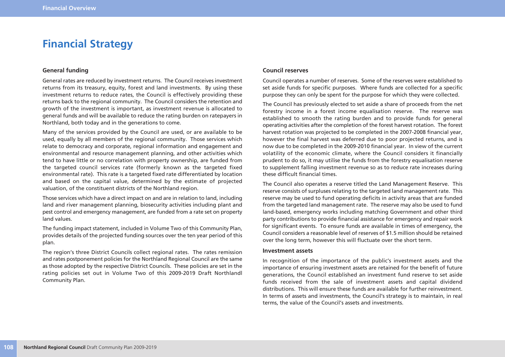## **Financial Strategy**

### **General funding**

General rates are reduced by investment returns. The Council receives investment returns from its treasury, equity, forest and land investments. By using these investment returns to reduce rates, the Council is effectively providing these returns back to the regional community. The Council considers the retention and growth of the investment is important, as investment revenue is allocated to general funds and will be available to reduce the rating burden on ratepayers in Northland, both today and in the generations to come.

Many of the services provided by the Council are used, or are available to be used, equally by all members of the regional community. Those services which relate to democracy and corporate, regional information and engagement and environmental and resource management planning, and other activities which tend to have little or no correlation with property ownership, are funded from the targeted council services rate (formerly known as the targeted fixed environmental rate). This rate is a targeted fixed rate differentiated by location and based on the capital value, determined by the estimate of projected valuation, of the constituent districts of the Northland region.

Those services which have a direct impact on and are in relation to land, including land and river management planning, biosecurity activities including plant and pest control and emergency management, are funded from a rate set on property land values.

The funding impact statement, included in Volume Two of this Community Plan, provides details of the projected funding sources over the ten year period of this plan.

The region's three District Councils collect regional rates. The rates remission and rates postponement policies for the Northland Regional Council are the same as those adopted by the respective District Councils. These policies are set in the rating policies set out in Volume Two of this 2009-2019 Draft Northlandl Community Plan.

### **Council reserves**

Council operates a number of reserves. Some of the reserves were established to set aside funds for specific purposes. Where funds are collected for a specific purpose they can only be spent for the purpose for which they were collected.

The Council has previously elected to set aside a share of proceeds from the net forestry income in a forest income equalisation reserve. The reserve was established to smooth the rating burden and to provide funds for general operating activities after the completion of the forest harvest rotation. The forest harvest rotation was projected to be completed in the 2007-2008 financial year, however the final harvest was deferred due to poor projected returns, and is now due to be completed in the 2009-2010 financial year. In view of the current volatility of the economic climate, where the Council considers it financially prudent to do so, it may utilise the funds from the forestry equalisation reserve to supplement falling investment revenue so as to reduce rate increases during these difficult financial times.

The Council also operates a reserve titled the Land Management Reserve. This reserve consists of surpluses relating to the targeted land management rate. This reserve may be used to fund operating deficits in activity areas that are funded from the targeted land management rate. The reserve may also be used to fund land-based, emergency works including matching Government and other third party contributions to provide financial assistance for emergency and repair work for significant events. To ensure funds are available in times of emergency, the Council considers a reasonable level of reserves of \$1.5 million should be retained over the long term, however this will fluctuate over the short term.

### **Investment assets**

In recognition of the importance of the public's investment assets and the importance of ensuring investment assets are retained for the benefit of future generations, the Council established an investment fund reserve to set aside funds received from the sale of investment assets and capital dividend distributions. This will ensure these funds are available for further reinvestment. In terms of assets and investments, the Council's strategy is to maintain, in real terms, the value of the Council's assets and investments.